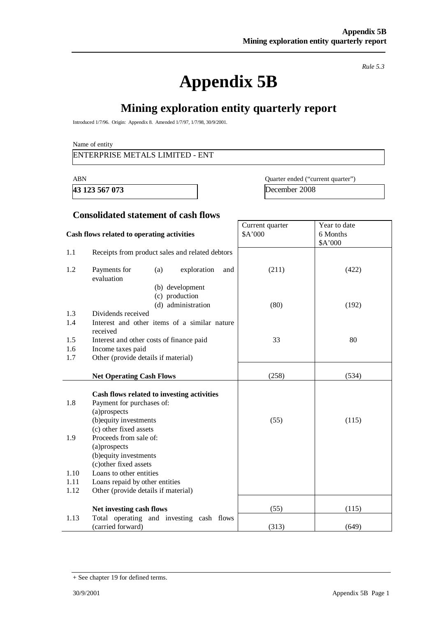*Rule 5.3* 

# **Appendix 5B**

# **Mining exploration entity quarterly report**

Introduced 1/7/96. Origin: Appendix 8. Amended 1/7/97, 1/7/98, 30/9/2001.

#### Name of entity

#### ENTERPRISE METALS LIMITED - ENT

**43 123 567 073** December 2008

ABN Quarter ended ("current quarter")

#### **Consolidated statement of cash flows**

|              | Cash flows related to operating activities                                 | Current quarter<br>\$A'000 | Year to date<br>6 Months |
|--------------|----------------------------------------------------------------------------|----------------------------|--------------------------|
|              |                                                                            |                            | \$A'000                  |
| 1.1          | Receipts from product sales and related debtors                            |                            |                          |
| 1.2          | Payments for<br>exploration<br>(a)<br>and<br>evaluation<br>(b) development | (211)                      | (422)                    |
|              | (c) production<br>(d) administration                                       | (80)                       | (192)                    |
| 1.3          | Dividends received                                                         |                            |                          |
| 1.4          | Interest and other items of a similar nature<br>received                   |                            |                          |
| 1.5          | Interest and other costs of finance paid                                   | 33                         | 80                       |
| 1.6          | Income taxes paid                                                          |                            |                          |
| 1.7          | Other (provide details if material)                                        |                            |                          |
|              | <b>Net Operating Cash Flows</b>                                            | (258)                      | (534)                    |
|              | Cash flows related to investing activities                                 |                            |                          |
| 1.8          | Payment for purchases of:                                                  |                            |                          |
|              | (a)prospects                                                               |                            |                          |
|              | (b) equity investments                                                     | (55)                       | (115)                    |
|              | (c) other fixed assets                                                     |                            |                          |
| 1.9          | Proceeds from sale of:                                                     |                            |                          |
|              | (a)prospects                                                               |                            |                          |
|              | (b) equity investments                                                     |                            |                          |
|              | (c) other fixed assets                                                     |                            |                          |
| 1.10<br>1.11 | Loans to other entities                                                    |                            |                          |
| 1.12         | Loans repaid by other entities<br>Other (provide details if material)      |                            |                          |
|              |                                                                            |                            |                          |
|              | Net investing cash flows                                                   | (55)                       | (115)                    |
| 1.13         | Total operating and investing cash flows<br>(carried forward)              | (313)                      | (649)                    |

<sup>+</sup> See chapter 19 for defined terms.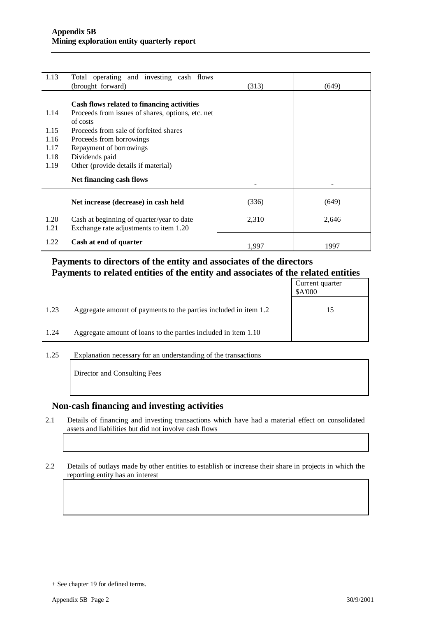| 1.13         | Total operating and investing cash flows<br>(brought forward)                       | (313) | (649) |
|--------------|-------------------------------------------------------------------------------------|-------|-------|
|              | Cash flows related to financing activities                                          |       |       |
| 1.14         | Proceeds from issues of shares, options, etc. net<br>of costs                       |       |       |
| 1.15         | Proceeds from sale of forfeited shares                                              |       |       |
| 1.16         | Proceeds from borrowings                                                            |       |       |
| 1.17         | Repayment of borrowings                                                             |       |       |
| 1.18         | Dividends paid                                                                      |       |       |
| 1.19         | Other (provide details if material)                                                 |       |       |
|              | Net financing cash flows                                                            |       |       |
|              | Net increase (decrease) in cash held                                                | (336) | (649) |
| 1.20<br>1.21 | Cash at beginning of quarter/year to date<br>Exchange rate adjustments to item 1.20 | 2,310 | 2,646 |
| 1.22         | Cash at end of quarter                                                              | 1,997 | 1997  |

#### **Payments to directors of the entity and associates of the directors Payments to related entities of the entity and associates of the related entities**

|      |                                                                  | Current quarter<br>\$A'000 |
|------|------------------------------------------------------------------|----------------------------|
| 1.23 | Aggregate amount of payments to the parties included in item 1.2 | 15                         |
| 1.24 | Aggregate amount of loans to the parties included in item 1.10   |                            |

1.25 Explanation necessary for an understanding of the transactions

Director and Consulting Fees

#### **Non-cash financing and investing activities**

- 2.1 Details of financing and investing transactions which have had a material effect on consolidated assets and liabilities but did not involve cash flows
- 2.2 Details of outlays made by other entities to establish or increase their share in projects in which the reporting entity has an interest

<sup>+</sup> See chapter 19 for defined terms.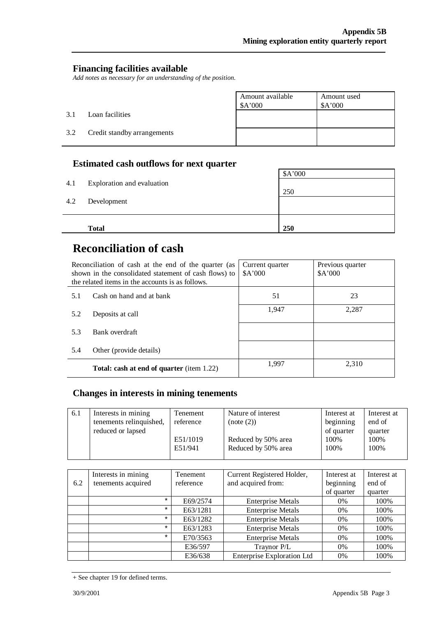#### **Financing facilities available**

*Add notes as necessary for an understanding of the position.* 

|     |                             | Amount available<br>\$A'000 | Amount used<br>A'000 |
|-----|-----------------------------|-----------------------------|----------------------|
| 3.1 | Loan facilities             |                             |                      |
| 3.2 | Credit standby arrangements |                             |                      |

#### **Estimated cash outflows for next quarter**

|     | <b>Total</b>               | 250     |
|-----|----------------------------|---------|
| 4.2 | Development                |         |
| 4.1 | Exploration and evaluation | 250     |
|     |                            | \$A'000 |

# **Reconciliation of cash**

|     | Reconciliation of cash at the end of the quarter (as<br>shown in the consolidated statement of cash flows) to<br>the related items in the accounts is as follows. | Current quarter<br>A'000 | Previous quarter<br>A'000 |
|-----|-------------------------------------------------------------------------------------------------------------------------------------------------------------------|--------------------------|---------------------------|
| 5.1 | Cash on hand and at bank                                                                                                                                          | 51                       | 23                        |
| 5.2 | Deposits at call                                                                                                                                                  | 1.947                    | 2,287                     |
| 5.3 | Bank overdraft                                                                                                                                                    |                          |                           |
| 5.4 | Other (provide details)                                                                                                                                           |                          |                           |
|     | <b>Total: cash at end of quarter</b> (item 1.22)                                                                                                                  | 1.997                    | 2.310                     |

## **Changes in interests in mining tenements**

| Interests in mining<br>6.1<br>tenements relinquished, | Tenement<br>reference | Nature of interest<br>(note (2))           | Interest at<br>beginning   | Interest at<br>end of   |
|-------------------------------------------------------|-----------------------|--------------------------------------------|----------------------------|-------------------------|
| reduced or lapsed                                     | E51/1019<br>E51/941   | Reduced by 50% area<br>Reduced by 50% area | of quarter<br>100%<br>100% | quarter<br>100%<br>100% |

|     | Interests in mining | Tenement  | Current Registered Holder,        | Interest at | Interest at |
|-----|---------------------|-----------|-----------------------------------|-------------|-------------|
| 6.2 | tenements acquired  | reference | and acquired from:                | beginning   | end of      |
|     |                     |           |                                   | of quarter  | quarter     |
|     | $\star$             | E69/2574  | <b>Enterprise Metals</b>          | $0\%$       | 100%        |
|     | $\star$             | E63/1281  | <b>Enterprise Metals</b>          | $0\%$       | 100%        |
|     | $\star$             | E63/1282  | <b>Enterprise Metals</b>          | $0\%$       | 100%        |
|     | $\star$             | E63/1283  | <b>Enterprise Metals</b>          | $0\%$       | 100%        |
|     | $\star$             | E70/3563  | <b>Enterprise Metals</b>          | $0\%$       | 100%        |
|     |                     | E36/597   | Traynor P/L                       | $0\%$       | 100%        |
|     |                     | E36/638   | <b>Enterprise Exploration Ltd</b> | $0\%$       | 100%        |

<sup>+</sup> See chapter 19 for defined terms.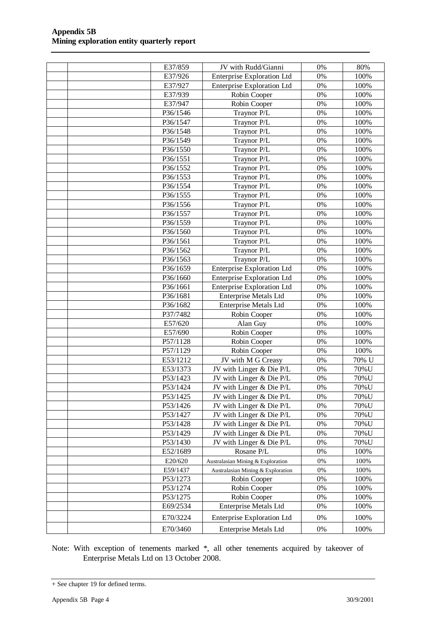| E37/859              | JV with Rudd/Gianni                    | 0%             | 80%          |
|----------------------|----------------------------------------|----------------|--------------|
| E37/926              | <b>Enterprise Exploration Ltd</b>      | 0%             | 100%         |
| E37/927              | <b>Enterprise Exploration Ltd</b>      | 0%             | 100%         |
| E37/939              | Robin Cooper                           | 0%             | 100%         |
| E37/947              | Robin Cooper                           | 0%             | 100%         |
| P36/1546             | Traynor P/L                            | 0%             | 100%         |
| P36/1547             | Traynor P/L                            | 0%             | 100%         |
| P36/1548             | Traynor P/L                            | 0%             | 100%         |
| P36/1549             | Traynor P/L                            | 0%             | 100%         |
| P36/1550             | Traynor P/L                            | 0%             | 100%         |
| P36/1551             | Traynor P/L                            | 0%             | 100%         |
| P36/1552             | Traynor P/L                            | 0%             | 100%         |
| P36/1553             | Traynor P/L                            | 0%             | 100%         |
| P36/1554             | Traynor P/L                            | 0%             | 100%         |
| P36/1555             | Traynor P/L                            | 0%             | 100%         |
| P36/1556             | Traynor P/L                            | 0%             | 100%         |
| P36/1557             | Traynor P/L                            | 0%             | 100%         |
| P36/1559             | Traynor P/L                            | 0%             | 100%         |
| P36/1560             | Traynor P/L                            | 0%             | 100%         |
| P36/1561             | Traynor P/L                            | 0%             | 100%         |
| P36/1562             | Traynor P/L                            | 0%             | 100%         |
| P36/1563             | Traynor P/L                            | 0%             | 100%         |
| P36/1659             | <b>Enterprise Exploration Ltd</b>      | 0%             | 100%         |
| P36/1660             | <b>Enterprise Exploration Ltd</b>      | 0%             | 100%         |
| P36/1661             | <b>Enterprise Exploration Ltd</b>      | 0%             | 100%         |
| P36/1681             | <b>Enterprise Metals Ltd</b>           | 0%             | 100%         |
| P36/1682             | Enterprise Metals Ltd                  | 0%             | 100%         |
| P37/7482             | Robin Cooper                           | 0%             | 100%         |
| E57/620              | Alan Guy                               | 0%             | 100%         |
| E57/690              | Robin Cooper                           | 0%             | 100%         |
| P57/1128             | Robin Cooper                           | 0%             | 100%         |
| P57/1129             | Robin Cooper                           | 0%             | 100%         |
| E53/1212             | JV with M G Creasy                     | 0%             | 70% U        |
| E53/1373             | JV with Linger & Die P/L               | 0%             | 70%U         |
| P53/1423             | JV with Linger & Die P/L               | 0%             | 70%U         |
| P53/1424             | JV with Linger & Die P/L               | $0\%$          | 70%U         |
| P53/1425             | JV with Linger & Die P/L               | 0%             | 70%U         |
| P53/1426             | JV with Linger & Die P/L               | $0\%$          | 70%U         |
| P53/1427             | JV with Linger & Die P/L               | $0\%$          | 70%U         |
| P53/1428             | JV with Linger & Die P/L               | 0%             | 70%U         |
| P53/1429             | JV with Linger & Die P/L               | $0\%$          | 70%U         |
| P53/1430<br>E52/1689 | JV with Linger & Die P/L<br>Rosane P/L | 0%<br>$0\%$    | 70%U<br>100% |
|                      |                                        |                |              |
| E20/620              | Australasian Mining & Exploration      | 0%             | 100%         |
| E59/1437<br>P53/1273 | Australasian Mining & Exploration      | $0\%$<br>$0\%$ | 100%<br>100% |
| P53/1274             | Robin Cooper<br>Robin Cooper           | $0\%$          | 100%         |
| P53/1275             | Robin Cooper                           | 0%             | 100%         |
| E69/2534             | <b>Enterprise Metals Ltd</b>           | 0%             | 100%         |
|                      |                                        |                |              |
| E70/3224             | <b>Enterprise Exploration Ltd</b>      | $0\%$          | 100%         |
| E70/3460             | <b>Enterprise Metals Ltd</b>           | 0%             | 100%         |

Note: With exception of tenements marked \*, all other tenements acquired by takeover of Enterprise Metals Ltd on 13 October 2008.

<sup>+</sup> See chapter 19 for defined terms.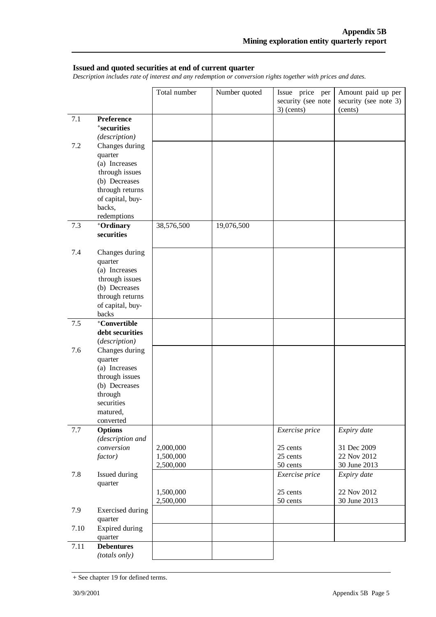#### **Issued and quoted securities at end of current quarter**

*Description includes rate of interest and any redemption or conversion rights together with prices and dates.* 

|      |                          | Total number | Number quoted | Issue price per<br>security (see note | Amount paid up per<br>security (see note 3) |
|------|--------------------------|--------------|---------------|---------------------------------------|---------------------------------------------|
|      |                          |              |               | $3)$ (cents)                          | (cents)                                     |
| 7.1  | <b>Preference</b>        |              |               |                                       |                                             |
|      | <sup>+</sup> securities  |              |               |                                       |                                             |
|      | (description)            |              |               |                                       |                                             |
| 7.2  | Changes during           |              |               |                                       |                                             |
|      | quarter<br>(a) Increases |              |               |                                       |                                             |
|      | through issues           |              |               |                                       |                                             |
|      | (b) Decreases            |              |               |                                       |                                             |
|      | through returns          |              |               |                                       |                                             |
|      | of capital, buy-         |              |               |                                       |                                             |
|      | backs,                   |              |               |                                       |                                             |
|      | redemptions              |              |               |                                       |                                             |
| 7.3  | +Ordinary                | 38,576,500   | 19,076,500    |                                       |                                             |
|      | securities               |              |               |                                       |                                             |
| 7.4  | Changes during           |              |               |                                       |                                             |
|      | quarter                  |              |               |                                       |                                             |
|      | (a) Increases            |              |               |                                       |                                             |
|      | through issues           |              |               |                                       |                                             |
|      | (b) Decreases            |              |               |                                       |                                             |
|      | through returns          |              |               |                                       |                                             |
|      | of capital, buy-         |              |               |                                       |                                             |
| 7.5  | backs<br>+Convertible    |              |               |                                       |                                             |
|      | debt securities          |              |               |                                       |                                             |
|      | (description)            |              |               |                                       |                                             |
| 7.6  | Changes during           |              |               |                                       |                                             |
|      | quarter                  |              |               |                                       |                                             |
|      | (a) Increases            |              |               |                                       |                                             |
|      | through issues           |              |               |                                       |                                             |
|      | (b) Decreases            |              |               |                                       |                                             |
|      | through<br>securities    |              |               |                                       |                                             |
|      | matured.                 |              |               |                                       |                                             |
|      | converted                |              |               |                                       |                                             |
| 7.7  | <b>Options</b>           |              |               | Exercise price                        | Expiry date                                 |
|      | (description and         |              |               |                                       |                                             |
|      | conversion               | 2,000,000    |               | 25 cents                              | 31 Dec 2009                                 |
|      | factor)                  | 1,500,000    |               | 25 cents                              | 22 Nov 2012                                 |
|      |                          | 2,500,000    |               | 50 cents                              | 30 June 2013                                |
| 7.8  | Issued during            |              |               | Exercise price                        | Expiry date                                 |
|      | quarter                  | 1,500,000    |               | 25 cents                              | 22 Nov 2012                                 |
|      |                          | 2,500,000    |               | 50 cents                              | 30 June 2013                                |
| 7.9  | <b>Exercised</b> during  |              |               |                                       |                                             |
|      | quarter                  |              |               |                                       |                                             |
| 7.10 | Expired during           |              |               |                                       |                                             |
|      | quarter                  |              |               |                                       |                                             |
| 7.11 | <b>Debentures</b>        |              |               |                                       |                                             |
|      | (totals only)            |              |               |                                       |                                             |

<sup>+</sup> See chapter 19 for defined terms.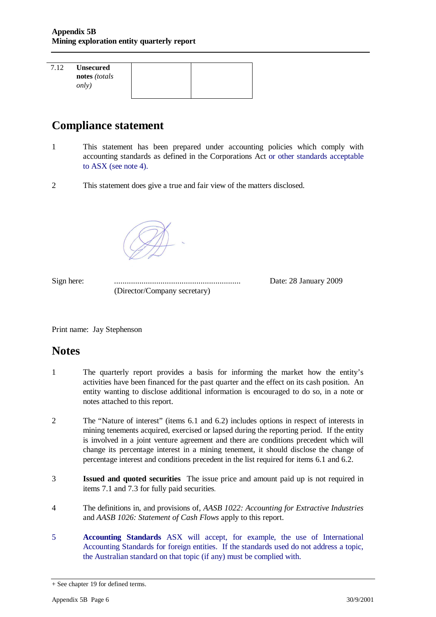| 7.12 | <b>Unsecured</b> |  |
|------|------------------|--|
|      | notes (totals    |  |
|      | <i>only</i> )    |  |
|      |                  |  |

# **Compliance statement**

- 1 This statement has been prepared under accounting policies which comply with accounting standards as defined in the Corporations Act or other standards acceptable to ASX (see note 4).
- 2 This statement does give a true and fair view of the matters disclosed.



Sign here: ............................................................ Date: 28 January 2009 (Director/Company secretary)

Print name: Jay Stephenson

### **Notes**

- 1 The quarterly report provides a basis for informing the market how the entity's activities have been financed for the past quarter and the effect on its cash position. An entity wanting to disclose additional information is encouraged to do so, in a note or notes attached to this report.
- 2 The "Nature of interest" (items 6.1 and 6.2) includes options in respect of interests in mining tenements acquired, exercised or lapsed during the reporting period. If the entity is involved in a joint venture agreement and there are conditions precedent which will change its percentage interest in a mining tenement, it should disclose the change of percentage interest and conditions precedent in the list required for items 6.1 and 6.2.
- 3 **Issued and quoted securities** The issue price and amount paid up is not required in items 7.1 and 7.3 for fully paid securities*.*
- 4 The definitions in, and provisions of, *AASB 1022: Accounting for Extractive Industries*  and *AASB 1026: Statement of Cash Flows* apply to this report.
- 5 **Accounting Standards** ASX will accept, for example, the use of International Accounting Standards for foreign entities. If the standards used do not address a topic, the Australian standard on that topic (if any) must be complied with.

<sup>+</sup> See chapter 19 for defined terms.